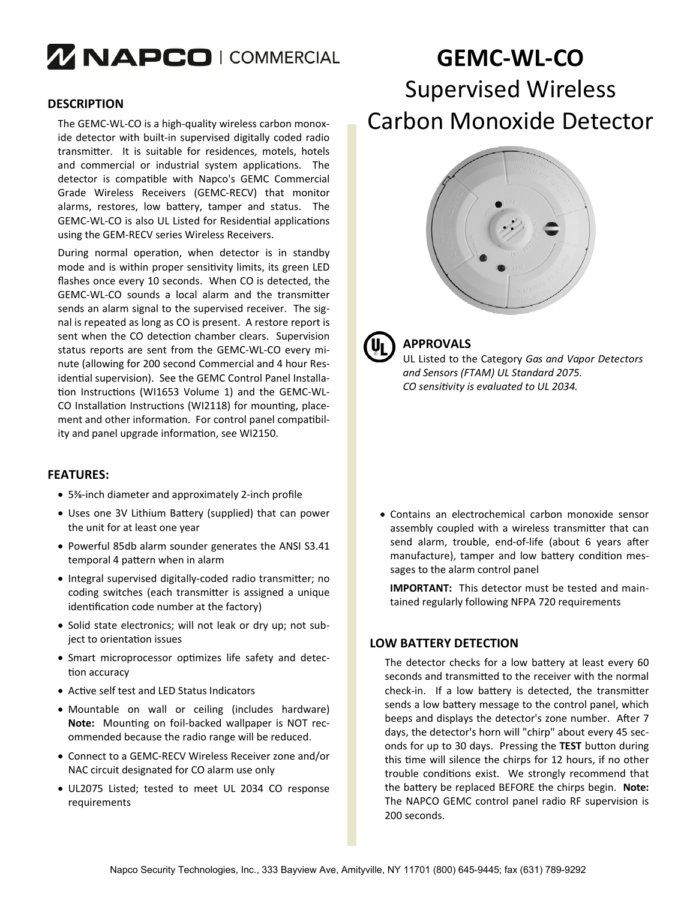# *MNAPCO I COMMERCIAL*

### **DESCRIPTION**

The GEMC‐WL‐CO is a high‐quality wireless carbon monox‐ ide detector with built‐in supervised digitally coded radio transmitter. It is suitable for residences, motels, hotels and commercial or industrial system applications. The detector is compatible with Napco's GEMC Commercial Grade Wireless Receivers (GEMC‐RECV) that monitor alarms, restores, low battery, tamper and status. The GEMC-WL-CO is also UL Listed for Residential applications using the GEM‐RECV series Wireless Receivers.

During normal operation, when detector is in standby mode and is within proper sensitivity limits, its green LED flashes once every 10 seconds. When CO is detected, the GEMC-WL-CO sounds a local alarm and the transmitter sends an alarm signal to the supervised receiver. The signal is repeated as long as CO is present. A restore report is sent when the CO detection chamber clears. Supervision status reports are sent from the GEMC‐WL‐CO every mi‐ nute (allowing for 200 second Commercial and 4 hour Res‐ idential supervision). See the GEMC Control Panel Installation Instructions (WI1653 Volume 1) and the GEMC-WL-CO Installation Instructions (WI2118) for mounting, placement and other information. For control panel compatibility and panel upgrade information, see WI2150.

#### **FEATURES:**

- 5⅜‐inch diameter and approximately 2‐inch profile
- Uses one 3V Lithium Battery (supplied) that can power the unit for at least one year
- Powerful 85db alarm sounder generates the ANSI S3.41 temporal 4 pattern when in alarm
- Integral supervised digitally-coded radio transmitter; no coding switches (each transmitter is assigned a unique identification code number at the factory)
- Solid state electronics; will not leak or dry up; not subject to orientation issues
- Smart microprocessor optimizes life safety and detection accuracy
- Active self test and LED Status Indicators
- Mountable on wall or ceiling (includes hardware) Note: Mounting on foil-backed wallpaper is NOT recommended because the radio range will be reduced.
- Connect to a GEMC‐RECV Wireless Receiver zone and/or NAC circuit designated for CO alarm use only
- UL2075 Listed; tested to meet UL 2034 CO response requirements

# **GEMC‐WL‐CO** Supervised Wireless Carbon Monoxide Detector





## **APPROVALS**

UL Listed to the Category *Gas and Vapor Detectors and Sensors (FTAM) UL Standard 2075. CO sensiƟvity is evaluated to UL 2034.* 

 Contains an electrochemical carbon monoxide sensor assembly coupled with a wireless transmitter that can send alarm, trouble, end-of-life (about 6 years after manufacture), tamper and low battery condition messages to the alarm control panel

**IMPORTANT:** This detector must be tested and main‐ tained regularly following NFPA 720 requirements

## **LOW BATTERY DETECTION**

The detector checks for a low battery at least every 60 seconds and transmitted to the receiver with the normal check-in. If a low battery is detected, the transmitter sends a low battery message to the control panel, which beeps and displays the detector's zone number. After 7 days, the detector's horn will "chirp" about every 45 sec‐ onds for up to 30 days. Pressing the TEST button during this time will silence the chirps for 12 hours, if no other trouble conditions exist. We strongly recommend that the battery be replaced BEFORE the chirps begin. Note: The NAPCO GEMC control panel radio RF supervision is 200 seconds.